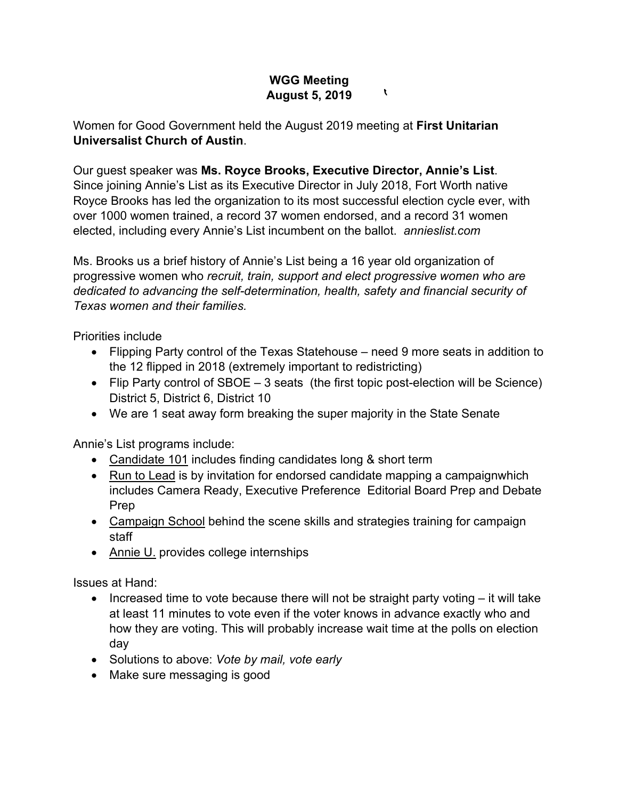## **WGG Meeting August 5, 2019**

 $\mathbf{v}$ 

Women for Good Government held the August 2019 meeting at **First Unitarian Universalist Church of Austin**.

Our guest speaker was **Ms. Royce Brooks, Executive Director, Annie's List**. Since joining Annie's List as its Executive Director in July 2018, Fort Worth native Royce Brooks has led the organization to its most successful election cycle ever, with over 1000 women trained, a record 37 women endorsed, and a record 31 women elected, including every Annie's List incumbent on the ballot. *annieslist.com*

Ms. Brooks us a brief history of Annie's List being a 16 year old organization of progressive women who *recruit, train, support and elect progressive women who are dedicated to advancing the self-determination, health, safety and financial security of Texas women and their families.*

Priorities include

- Flipping Party control of the Texas Statehouse need 9 more seats in addition to the 12 flipped in 2018 (extremely important to redistricting)
- Flip Party control of SBOE 3 seats (the first topic post-election will be Science) District 5, District 6, District 10
- We are 1 seat away form breaking the super majority in the State Senate

Annie's List programs include:

- Candidate 101 includes finding candidates long & short term
- Run to Lead is by invitation for endorsed candidate mapping a campaignwhich includes Camera Ready, Executive Preference Editorial Board Prep and Debate Prep
- Campaign School behind the scene skills and strategies training for campaign staff
- Annie U. provides college internships

Issues at Hand:

- Increased time to vote because there will not be straight party voting it will take at least 11 minutes to vote even if the voter knows in advance exactly who and how they are voting. This will probably increase wait time at the polls on election day
- Solutions to above: *Vote by mail, vote early*
- Make sure messaging is good